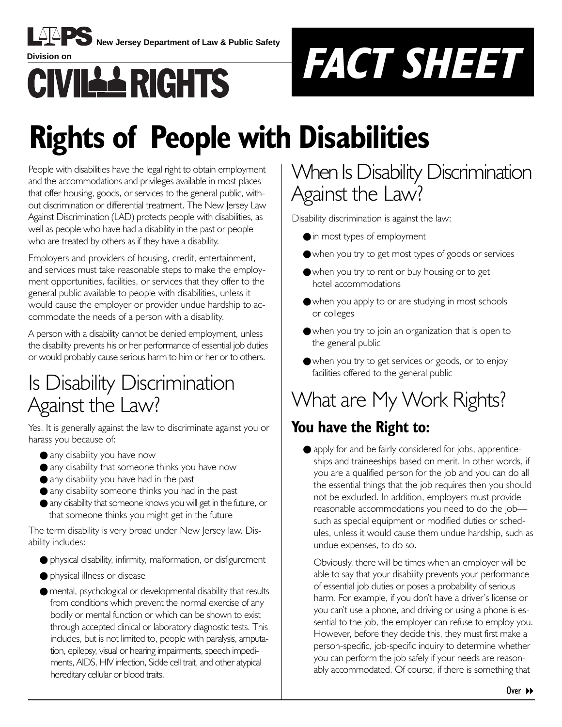**New Jersey Department of Law & Public Safety** 





## **Rights of People with Disabilities**

People with disabilities have the legal right to obtain employment and the accommodations and privileges available in most places that offer housing, goods, or services to the general public, without discrimination or differential treatment. The New Jersey Law Against Discrimination (LAD) protects people with disabilities, as well as people who have had a disability in the past or people who are treated by others as if they have a disability.

Employers and providers of housing, credit, entertainment, and services must take reasonable steps to make the employment opportunities, facilities, or services that they offer to the general public available to people with disabilities, unless it would cause the employer or provider undue hardship to accommodate the needs of a person with a disability.

A person with a disability cannot be denied employment, unless the disability prevents his or her performance of essential job duties or would probably cause serious harm to him or her or to others.

### Is Disability Discrimination Against the Law?

Yes. It is generally against the law to discriminate against you or harass you because of:

- any disability you have now
- any disability that someone thinks you have now
- any disability you have had in the past
- $\bullet$  any disability someone thinks you had in the past
- any disability that someone knows you will get in the future, or that someone thinks you might get in the future

The term disability is very broad under New Jersey law. Disability includes:

- physical disability, infirmity, malformation, or disfigurement
- physical illness or disease
- mental, psychological or developmental disability that results from conditions which prevent the normal exercise of any bodily or mental function or which can be shown to exist through accepted clinical or laboratory diagnostic tests. This includes, but is not limited to, people with paralysis, amputation, epilepsy, visual or hearing impairments, speech impediments, AIDS, HIV infection, Sickle cell trait, and other atypical hereditary cellular or blood traits.

### When Is Disability Discrimination Against the Law?

Disability discrimination is against the law:

- ●in most types of employment
- ●when you try to get most types of goods or services
- when you try to rent or buy housing or to get hotel accommodations
- ●when you apply to or are studying in most schools or colleges
- ●when you try to join an organization that is open to the general public
- ●when you try to get services or goods, or to enjoy facilities offered to the general public

## What are My Work Rights?

### **You have the Right to:**

● apply for and be fairly considered for jobs, apprenticeships and traineeships based on merit. In other words, if you are a qualified person for the job and you can do all the essential things that the job requires then you should not be excluded. In addition, employers must provide reasonable accommodations you need to do the jobsuch as special equipment or modified duties or schedules, unless it would cause them undue hardship, such as undue expenses, to do so.

Obviously, there will be times when an employer will be able to say that your disability prevents your performance of essential job duties or poses a probability of serious harm. For example, if you don't have a driver's license or you canít use a phone, and driving or using a phone is essential to the job, the employer can refuse to employ you. However, before they decide this, they must first make a person-specific, job-specific inquiry to determine whether you can perform the job safely if your needs are reasonably accommodated. Of course, if there is something that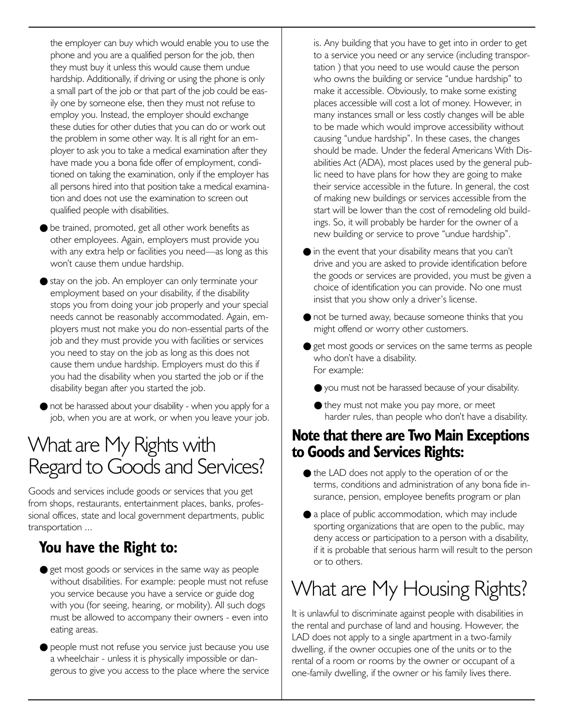the employer can buy which would enable you to use the the employer can buy which would enable you to use the the the the politics of a service you need or any service (including transporting) they must buy it unless this would cause them undue the person the service service i phone and you are a qualified person for the job, then they must buy it unless this would cause them undue hardship. Additionally, if driving or using the phone is only a small part of the job or that part of the job could be easily one by someone else, then they must not refuse to employ you. Instead, the employer should exchange these duties for other duties that you can do or work out the problem in some other way. It is all right for an employer to ask you to take a medical examination after they have made you a bona fide offer of employment, conditioned on taking the examination, only if the employer has all persons hired into that position take a medical examination and does not use the examination to screen out qualified people with disabilities.

- $\bullet$  be trained, promoted, get all other work benefits as other employees. Again, employers must provide you with any extra help or facilities you need—as long as this wonít cause them undue hardship.
- stay on the job. An employer can only terminate your employment based on your disability, if the disability stops you from doing your job properly and your special needs cannot be reasonably accommodated. Again, employers must not make you do non-essential parts of the job and they must provide you with facilities or services you need to stay on the job as long as this does not cause them undue hardship. Employers must do this if you had the disability when you started the job or if the disability began after you started the job.
- not be harassed about your disability when you apply for a job, when you are at work, or when you leave your job.

### What are My Rights with Regard to Goods and Services?

Goods and services include goods or services that you get from shops, restaurants, entertainment places, banks, professional offices, state and local government departments, public transportation ...

### **You have the Right to:**

- get most goods or services in the same way as people without disabilities. For example: people must not refuse you service because you have a service or guide dog with you (for seeing, hearing, or mobility). All such dogs must be allowed to accompany their owners - even into eating areas.
- people must not refuse you service just because you use a wheelchair - unless it is physically impossible or dangerous to give you access to the place where the service

is. Any building that you have to get into in order to get to a service you need or any service (including transportation ) that you need to use would cause the person who owns the building or service "undue hardship" to make it accessible. Obviously, to make some existing places accessible will cost a lot of money. However, in many instances small or less costly changes will be able to be made which would improve accessibility without causing "undue hardship". In these cases, the changes should be made. Under the federal Americans With Disabilities Act (ADA), most places used by the general public need to have plans for how they are going to make their service accessible in the future. In general, the cost of making new buildings or services accessible from the start will be lower than the cost of remodeling old buildings. So, it will probably be harder for the owner of a new building or service to prove "undue hardship".

- in the event that your disability means that you can't drive and you are asked to provide identification before the goods or services are provided, you must be given a choice of identification you can provide. No one must insist that you show only a driver's license.
- not be turned away, because someone thinks that you might offend or worry other customers.
- get most goods or services on the same terms as people who don't have a disability. For example:
	- you must not be harassed because of your disability.
	- they must not make you pay more, or meet harder rules, than people who don't have a disability.

#### **Note that there are Two Main Exceptions to Goods and Services Rights:**

- $\bullet$  the LAD does not apply to the operation of or the terms, conditions and administration of any bona fide insurance, pension, employee benefits program or plan
- a place of public accommodation, which may include sporting organizations that are open to the public, may deny access or participation to a person with a disability, if it is probable that serious harm will result to the person or to others.

### What are My Housing Rights?

It is unlawful to discriminate against people with disabilities in the rental and purchase of land and housing. However, the LAD does not apply to a single apartment in a two-family dwelling, if the owner occupies one of the units or to the rental of a room or rooms by the owner or occupant of a one-family dwelling, if the owner or his family lives there.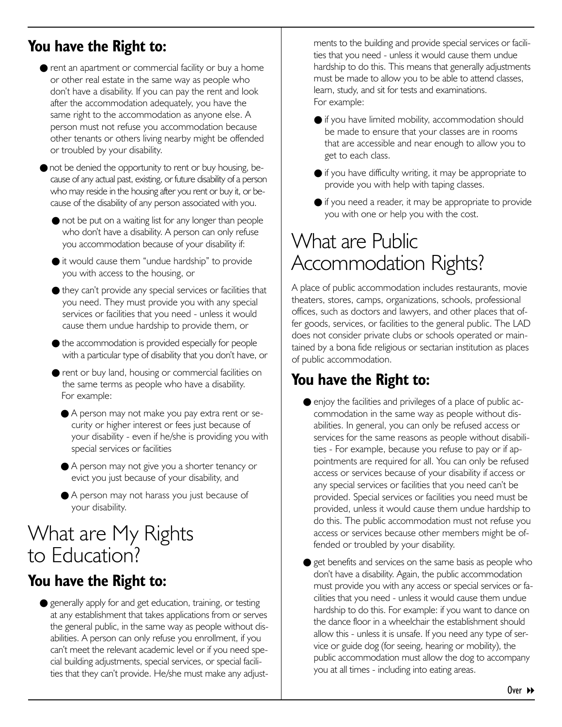- $\bullet$  rent an apartment or commercial facility or buy a home or other real estate in the same way as people who donít have a disability. If you can pay the rent and look after the accommodation adequately, you have the same right to the accommodation as anyone else. A person must not refuse you accommodation because other tenants or others living nearby might be offended or troubled by your disability.
- not be denied the opportunity to rent or buy housing, because of any actual past, existing, or future disability of a person who may reside in the housing after you rent or buy it, or because of the disability of any person associated with you.
	- not be put on a waiting list for any longer than people who don't have a disability. A person can only refuse you accommodation because of your disability if:
	- $\bullet$  it would cause them "undue hardship" to provide you with access to the housing, or
	- $\bullet$  they can't provide any special services or facilities that you need. They must provide you with any special services or facilities that you need - unless it would cause them undue hardship to provide them, or
	- the accommodation is provided especially for people with a particular type of disability that you don't have, or
	- rent or buy land, housing or commercial facilities on the same terms as people who have a disability. For example:
		- A person may not make you pay extra rent or security or higher interest or fees just because of your disability - even if he/she is providing you with special services or facilities
		- A person may not give you a shorter tenancy or evict you just because of your disability, and
		- A person may not harass you just because of your disability.

### What are My Rights to Education?

#### **You have the Right to:**

● generally apply for and get education, training, or testing at any establishment that takes applications from or serves the general public, in the same way as people without disabilities. A person can only refuse you enrollment, if you canít meet the relevant academic level or if you need special building adjustments, special services, or special facilities that they canít provide. He/she must make any adjust-

**You have the Right to:**<br> **P** rent an apartment or commercial facility or buy a home<br> **P** rent an apartment or commercial facility or buy a home<br> **P** rest be allow you to be able to attend desses ments to the building and provide special services or facilities that you need - unless it would cause them undue hardship to do this. This means that generally adjustments must be made to allow you to be able to attend classes, learn, study, and sit for tests and examinations. For example:

- if you have limited mobility, accommodation should be made to ensure that your classes are in rooms that are accessible and near enough to allow you to get to each class.
- if you have difficulty writing, it may be appropriate to provide you with help with taping classes.
- if you need a reader, it may be appropriate to provide you with one or help you with the cost.

### What are Public Accommodation Rights?

A place of public accommodation includes restaurants, movie theaters, stores, camps, organizations, schools, professional offices, such as doctors and lawyers, and other places that offer goods, services, or facilities to the general public. The LAD does not consider private clubs or schools operated or maintained by a bona fide religious or sectarian institution as places of public accommodation.

### **You have the Right to:**

- $\bullet$  enjoy the facilities and privileges of a place of public accommodation in the same way as people without disabilities. In general, you can only be refused access or services for the same reasons as people without disabilities - For example, because you refuse to pay or if appointments are required for all. You can only be refused access or services because of your disability if access or any special services or facilities that you need canít be provided. Special services or facilities you need must be provided, unless it would cause them undue hardship to do this. The public accommodation must not refuse you access or services because other members might be offended or troubled by your disability.
- get benefits and services on the same basis as people who donít have a disability. Again, the public accommodation must provide you with any access or special services or facilities that you need - unless it would cause them undue hardship to do this. For example: if you want to dance on the dance floor in a wheelchair the establishment should allow this - unless it is unsafe. If you need any type of service or guide dog (for seeing, hearing or mobility), the public accommodation must allow the dog to accompany you at all times - including into eating areas.